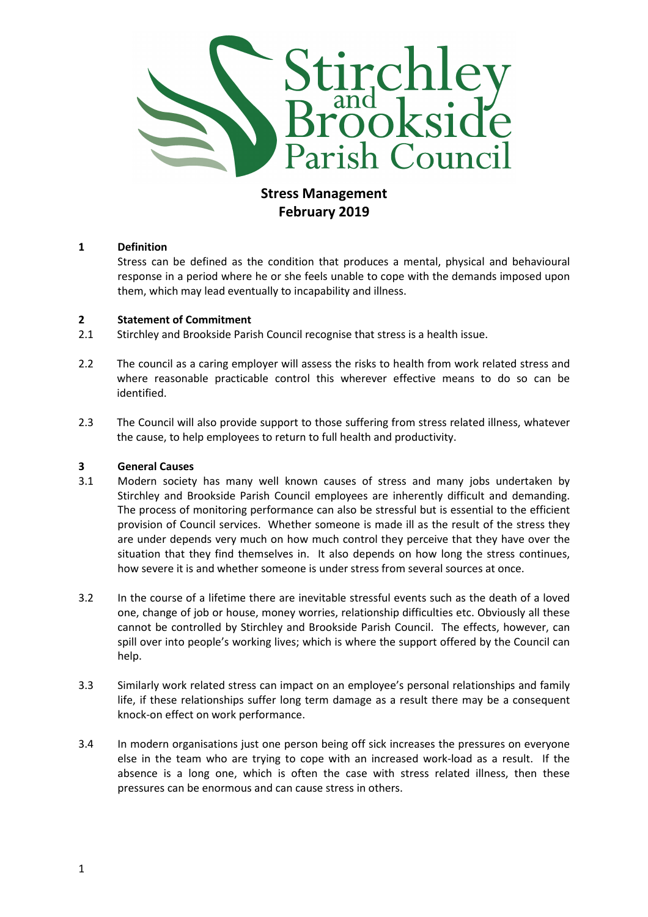

# Stress Management February 2019

## 1 Definition

Stress can be defined as the condition that produces a mental, physical and behavioural response in a period where he or she feels unable to cope with the demands imposed upon them, which may lead eventually to incapability and illness.

## 2 Statement of Commitment

2.1 Stirchley and Brookside Parish Council recognise that stress is a health issue.

- 2.2 The council as a caring employer will assess the risks to health from work related stress and where reasonable practicable control this wherever effective means to do so can be identified.
- 2.3 The Council will also provide support to those suffering from stress related illness, whatever the cause, to help employees to return to full health and productivity.

## 3 General Causes

- 3.1 Modern society has many well known causes of stress and many jobs undertaken by Stirchley and Brookside Parish Council employees are inherently difficult and demanding. The process of monitoring performance can also be stressful but is essential to the efficient provision of Council services. Whether someone is made ill as the result of the stress they are under depends very much on how much control they perceive that they have over the situation that they find themselves in. It also depends on how long the stress continues, how severe it is and whether someone is under stress from several sources at once.
- 3.2 In the course of a lifetime there are inevitable stressful events such as the death of a loved one, change of job or house, money worries, relationship difficulties etc. Obviously all these cannot be controlled by Stirchley and Brookside Parish Council. The effects, however, can spill over into people's working lives; which is where the support offered by the Council can help.
- 3.3 Similarly work related stress can impact on an employee's personal relationships and family life, if these relationships suffer long term damage as a result there may be a consequent knock-on effect on work performance.
- 3.4 In modern organisations just one person being off sick increases the pressures on everyone else in the team who are trying to cope with an increased work-load as a result. If the absence is a long one, which is often the case with stress related illness, then these pressures can be enormous and can cause stress in others.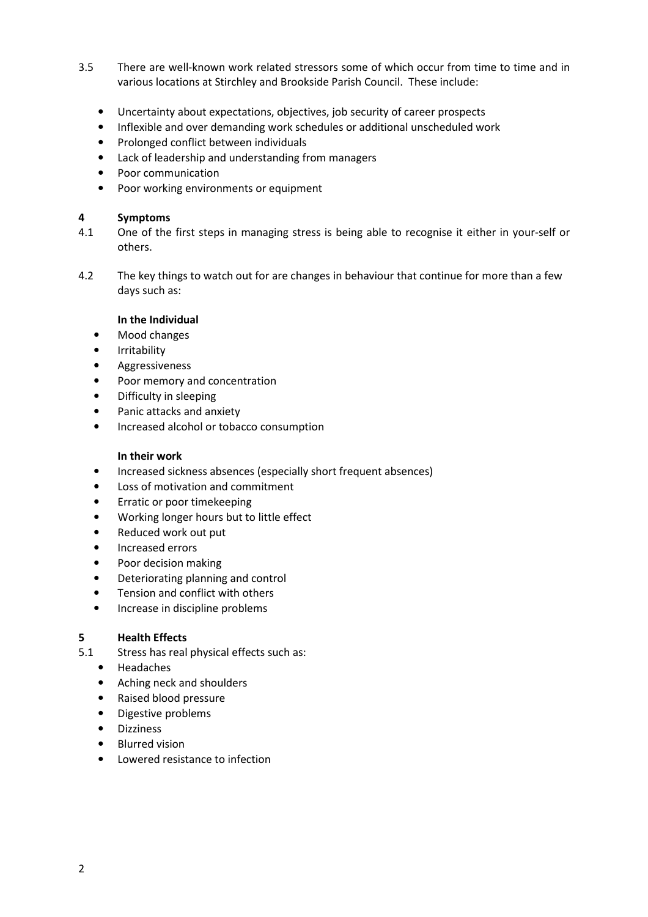- 3.5 There are well-known work related stressors some of which occur from time to time and in various locations at Stirchley and Brookside Parish Council. These include:
	- Uncertainty about expectations, objectives, job security of career prospects
	- Inflexible and over demanding work schedules or additional unscheduled work
	- Prolonged conflict between individuals
	- Lack of leadership and understanding from managers
	- Poor communication
	- Poor working environments or equipment

#### 4 Symptoms

- 4.1 One of the first steps in managing stress is being able to recognise it either in your-self or others.
- 4.2 The key things to watch out for are changes in behaviour that continue for more than a few days such as:

#### In the Individual

- Mood changes
- Irritability
- Aggressiveness
- Poor memory and concentration
- Difficulty in sleeping
- Panic attacks and anxiety
- Increased alcohol or tobacco consumption

## In their work

- Increased sickness absences (especially short frequent absences)
- Loss of motivation and commitment
- Erratic or poor timekeeping
- Working longer hours but to little effect
- Reduced work out put
- Increased errors
- Poor decision making
- Deteriorating planning and control
- Tension and conflict with others
- Increase in discipline problems

## 5 Health Effects

- 5.1 Stress has real physical effects such as:
	- Headaches
	- Aching neck and shoulders
	- Raised blood pressure
	- Digestive problems
	- Dizziness
	- Blurred vision
	- Lowered resistance to infection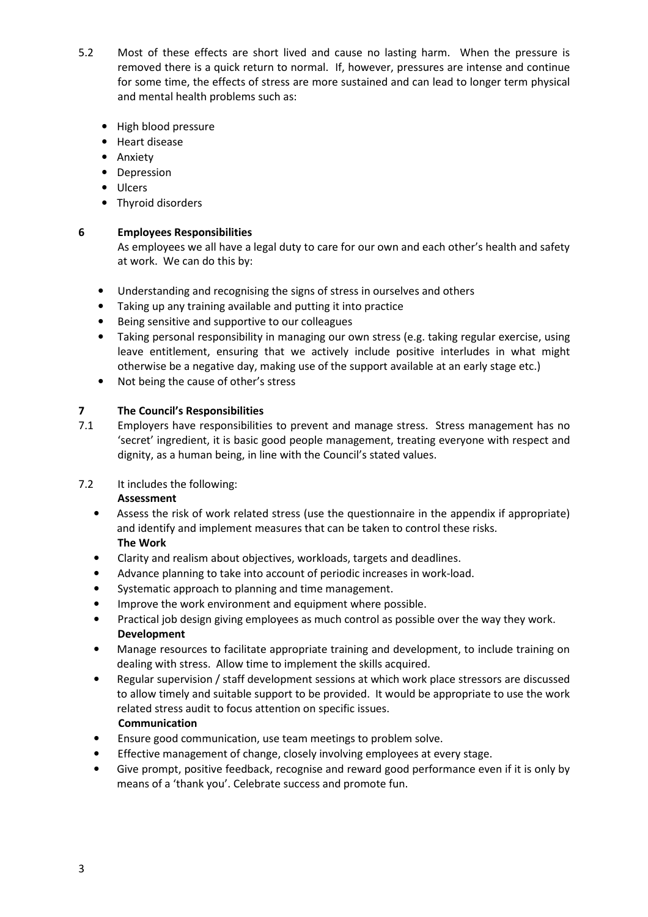- 5.2 Most of these effects are short lived and cause no lasting harm. When the pressure is removed there is a quick return to normal. If, however, pressures are intense and continue for some time, the effects of stress are more sustained and can lead to longer term physical and mental health problems such as:
	- High blood pressure
	- Heart disease
	- Anxiety
	- Depression
	- Ulcers
	- Thyroid disorders

## 6 Employees Responsibilities

As employees we all have a legal duty to care for our own and each other's health and safety at work. We can do this by:

- Understanding and recognising the signs of stress in ourselves and others
- Taking up any training available and putting it into practice
- Being sensitive and supportive to our colleagues
- Taking personal responsibility in managing our own stress (e.g. taking regular exercise, using leave entitlement, ensuring that we actively include positive interludes in what might otherwise be a negative day, making use of the support available at an early stage etc.)
- Not being the cause of other's stress

## 7 The Council's Responsibilities

7.1 Employers have responsibilities to prevent and manage stress. Stress management has no 'secret' ingredient, it is basic good people management, treating everyone with respect and dignity, as a human being, in line with the Council's stated values.

## 7.2 It includes the following:

## Assessment

- Assess the risk of work related stress (use the questionnaire in the appendix if appropriate) and identify and implement measures that can be taken to control these risks. The Work
- Clarity and realism about objectives, workloads, targets and deadlines.
- Advance planning to take into account of periodic increases in work-load.
- Systematic approach to planning and time management.
- Improve the work environment and equipment where possible.
- Practical job design giving employees as much control as possible over the way they work. Development
- Manage resources to facilitate appropriate training and development, to include training on dealing with stress. Allow time to implement the skills acquired.
- Regular supervision / staff development sessions at which work place stressors are discussed to allow timely and suitable support to be provided. It would be appropriate to use the work related stress audit to focus attention on specific issues. Communication
- Ensure good communication, use team meetings to problem solve.
- Effective management of change, closely involving employees at every stage.
- Give prompt, positive feedback, recognise and reward good performance even if it is only by means of a 'thank you'. Celebrate success and promote fun.